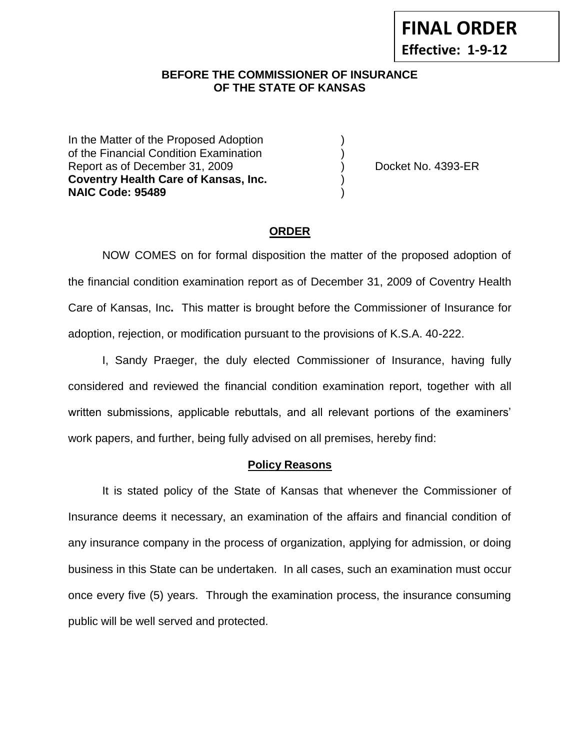#### **BEFORE THE COMMISSIONER OF INSURANCE OF THE STATE OF KANSAS**

In the Matter of the Proposed Adoption of the Financial Condition Examination ) Report as of December 31, 2009 (and Contact Contact Contact No. 4393-ER **Coventry Health Care of Kansas, Inc.** ) **NAIC Code: 95489** )

#### **ORDER**

NOW COMES on for formal disposition the matter of the proposed adoption of the financial condition examination report as of December 31, 2009 of Coventry Health Care of Kansas, Inc**.** This matter is brought before the Commissioner of Insurance for adoption, rejection, or modification pursuant to the provisions of K.S.A. 40-222.

I, Sandy Praeger, the duly elected Commissioner of Insurance, having fully considered and reviewed the financial condition examination report, together with all written submissions, applicable rebuttals, and all relevant portions of the examiners' work papers, and further, being fully advised on all premises, hereby find:

#### **Policy Reasons**

It is stated policy of the State of Kansas that whenever the Commissioner of Insurance deems it necessary, an examination of the affairs and financial condition of any insurance company in the process of organization, applying for admission, or doing business in this State can be undertaken. In all cases, such an examination must occur once every five (5) years. Through the examination process, the insurance consuming public will be well served and protected.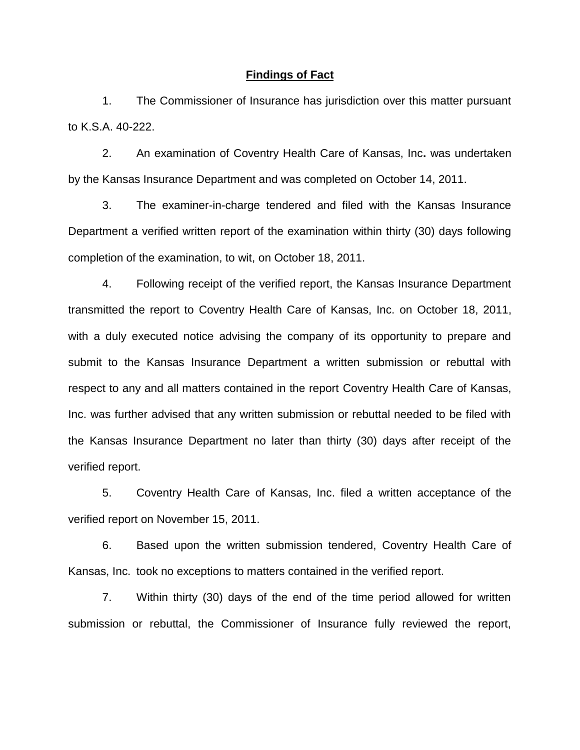#### **Findings of Fact**

1. The Commissioner of Insurance has jurisdiction over this matter pursuant to K.S.A. 40-222.

2. An examination of Coventry Health Care of Kansas, Inc**.** was undertaken by the Kansas Insurance Department and was completed on October 14, 2011.

3. The examiner-in-charge tendered and filed with the Kansas Insurance Department a verified written report of the examination within thirty (30) days following completion of the examination, to wit, on October 18, 2011.

4. Following receipt of the verified report, the Kansas Insurance Department transmitted the report to Coventry Health Care of Kansas, Inc. on October 18, 2011, with a duly executed notice advising the company of its opportunity to prepare and submit to the Kansas Insurance Department a written submission or rebuttal with respect to any and all matters contained in the report Coventry Health Care of Kansas, Inc. was further advised that any written submission or rebuttal needed to be filed with the Kansas Insurance Department no later than thirty (30) days after receipt of the verified report.

5. Coventry Health Care of Kansas, Inc. filed a written acceptance of the verified report on November 15, 2011.

6. Based upon the written submission tendered, Coventry Health Care of Kansas, Inc. took no exceptions to matters contained in the verified report.

7. Within thirty (30) days of the end of the time period allowed for written submission or rebuttal, the Commissioner of Insurance fully reviewed the report,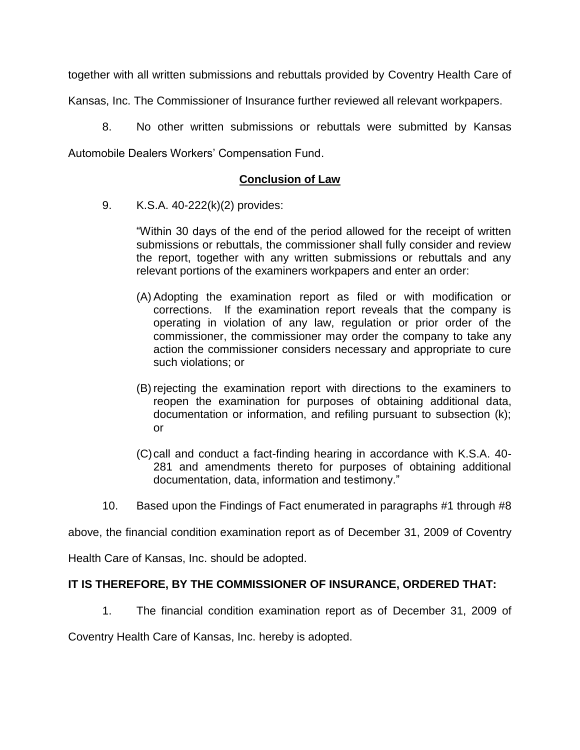together with all written submissions and rebuttals provided by Coventry Health Care of

Kansas, Inc. The Commissioner of Insurance further reviewed all relevant workpapers.

8. No other written submissions or rebuttals were submitted by Kansas

Automobile Dealers Workers' Compensation Fund.

## **Conclusion of Law**

9. K.S.A. 40-222(k)(2) provides:

"Within 30 days of the end of the period allowed for the receipt of written submissions or rebuttals, the commissioner shall fully consider and review the report, together with any written submissions or rebuttals and any relevant portions of the examiners workpapers and enter an order:

- (A) Adopting the examination report as filed or with modification or corrections. If the examination report reveals that the company is operating in violation of any law, regulation or prior order of the commissioner, the commissioner may order the company to take any action the commissioner considers necessary and appropriate to cure such violations; or
- (B) rejecting the examination report with directions to the examiners to reopen the examination for purposes of obtaining additional data, documentation or information, and refiling pursuant to subsection (k); or
- (C)call and conduct a fact-finding hearing in accordance with K.S.A. 40- 281 and amendments thereto for purposes of obtaining additional documentation, data, information and testimony."
- 10. Based upon the Findings of Fact enumerated in paragraphs #1 through #8

above, the financial condition examination report as of December 31, 2009 of Coventry

Health Care of Kansas, Inc. should be adopted.

### **IT IS THEREFORE, BY THE COMMISSIONER OF INSURANCE, ORDERED THAT:**

1. The financial condition examination report as of December 31, 2009 of

Coventry Health Care of Kansas, Inc. hereby is adopted.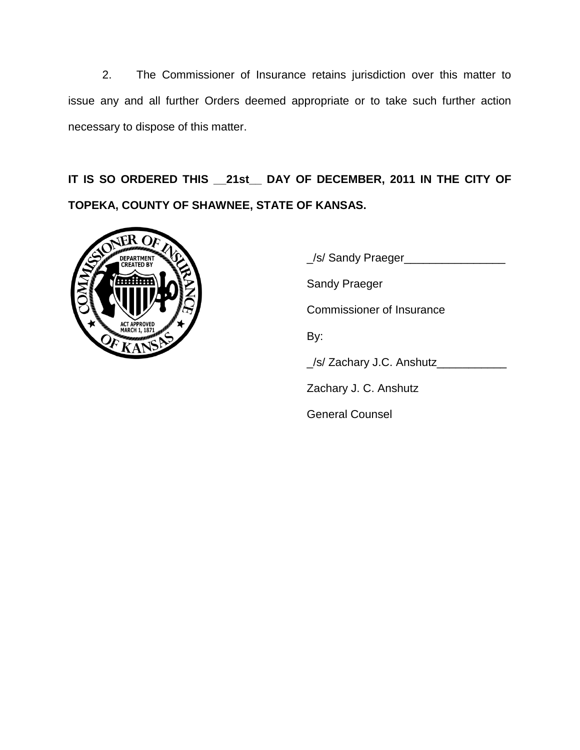2. The Commissioner of Insurance retains jurisdiction over this matter to issue any and all further Orders deemed appropriate or to take such further action necessary to dispose of this matter.

**IT IS SO ORDERED THIS \_\_21st\_\_ DAY OF DECEMBER, 2011 IN THE CITY OF TOPEKA, COUNTY OF SHAWNEE, STATE OF KANSAS.**



\_/s/ Sandy Praeger\_\_\_\_\_\_\_\_\_\_\_\_\_\_\_\_ Sandy Praeger Commissioner of Insurance By: \_/s/ Zachary J.C. Anshutz\_\_\_\_\_\_\_\_\_\_\_ Zachary J. C. Anshutz

General Counsel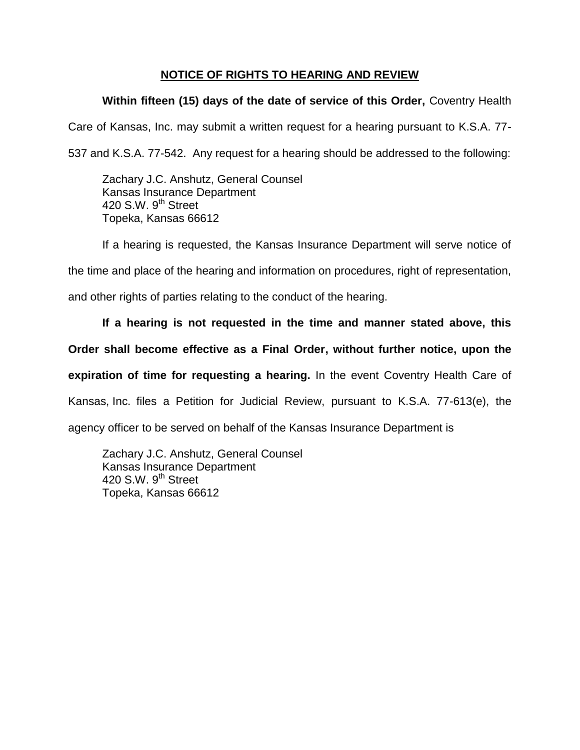# **NOTICE OF RIGHTS TO HEARING AND REVIEW**

# **Within fifteen (15) days of the date of service of this Order,** Coventry Health

Care of Kansas, Inc. may submit a written request for a hearing pursuant to K.S.A. 77-

537 and K.S.A. 77-542. Any request for a hearing should be addressed to the following:

Zachary J.C. Anshutz, General Counsel Kansas Insurance Department 420 S.W. 9<sup>th</sup> Street Topeka, Kansas 66612

If a hearing is requested, the Kansas Insurance Department will serve notice of

the time and place of the hearing and information on procedures, right of representation,

and other rights of parties relating to the conduct of the hearing.

**If a hearing is not requested in the time and manner stated above, this** 

**Order shall become effective as a Final Order, without further notice, upon the** 

**expiration of time for requesting a hearing.** In the event Coventry Health Care of

Kansas, Inc. files a Petition for Judicial Review, pursuant to K.S.A. 77-613(e), the

agency officer to be served on behalf of the Kansas Insurance Department is

Zachary J.C. Anshutz, General Counsel Kansas Insurance Department 420 S.W.  $9<sup>th</sup>$  Street Topeka, Kansas 66612